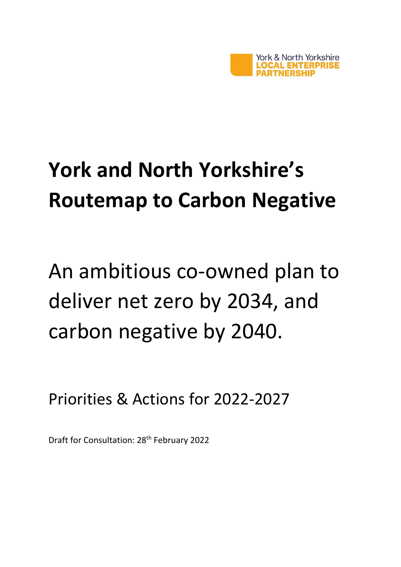

# **York and North Yorkshire's Routemap to Carbon Negative**

An ambitious co-owned plan to deliver net zero by 2034, and carbon negative by 2040.

Priorities & Actions for 2022-2027

Draft for Consultation: 28th February 2022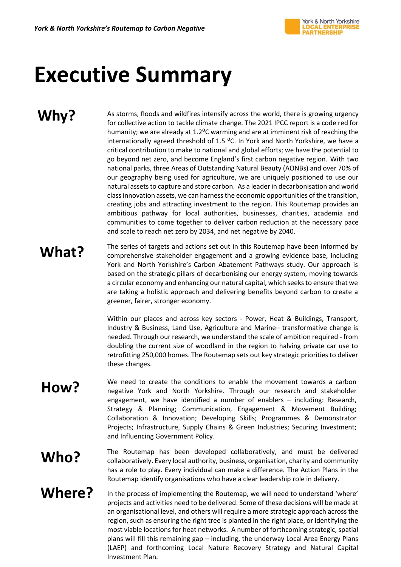

## **Executive Summary**

## **Why?**

As storms, floods and wildfires intensify across the world, there is growing urgency for collective action to tackle climate change. The 2021 IPCC report is a code red for humanity; we are already at 1.2<sup>o</sup>C warming and are at imminent risk of reaching the internationally agreed threshold of 1.5  $^{\circ}$ C. In York and North Yorkshire, we have a critical contribution to make to national and global efforts; we have the potential to go beyond net zero, and become England's first carbon negative region. With two national parks, three Areas of Outstanding Natural Beauty (AONBs) and over 70% of our geography being used for agriculture, we are uniquely positioned to use our natural assets to capture and store carbon. As a leader in decarbonisation and world class innovation assets, we can harness the economic opportunities of the transition, creating jobs and attracting investment to the region. This Routemap provides an ambitious pathway for local authorities, businesses, charities, academia and communities to come together to deliver carbon reduction at the necessary pace and scale to reach net zero by 2034, and net negative by 2040.

## **What?**

The series of targets and actions set out in this Routemap have been informed by comprehensive stakeholder engagement and a growing evidence base, including York and North Yorkshire's Carbon Abatement Pathways study. Our approach is based on the strategic pillars of decarbonising our energy system, moving towards a circular economy and enhancing our natural capital, which seeks to ensure that we are taking a holistic approach and delivering benefits beyond carbon to create a greener, fairer, stronger economy.

Within our places and across key sectors - Power, Heat & Buildings, Transport, Industry & Business, Land Use, Agriculture and Marine– transformative change is needed. Through our research, we understand the scale of ambition required - from doubling the current size of woodland in the region to halving private car use to retrofitting 250,000 homes. The Routemap sets out key strategic priorities to deliver these changes.

**How?** We need to create the conditions to enable the movement towards a carbon negative York and North Yorkshire. Through our research and stakeholder engagement, we have identified a number of enablers – including: Research, Strategy & Planning; Communication, Engagement & Movement Building; Collaboration & Innovation; Developing Skills; Programmes & Demonstrator Projects; Infrastructure, Supply Chains & Green Industries; Securing Investment; and Influencing Government Policy.

#### **Who?** The Routemap has been developed collaboratively, and must be delivered<br>
collaboratively Every local authority business organisation charity and community collaboratively. Every local authority, business, organisation, charity and community has a role to play. Every individual can make a difference. The Action Plans in the Routemap identify organisations who have a clear leadership role in delivery.

### **Where?**

In the process of implementing the Routemap, we will need to understand 'where' projects and activities need to be delivered. Some of these decisions will be made at an organisational level, and others will require a more strategic approach across the region, such as ensuring the right tree is planted in the right place, or identifying the most viable locations for heat networks. A number of forthcoming strategic, spatial plans will fill this remaining gap – including, the underway Local Area Energy Plans (LAEP) and forthcoming Local Nature Recovery Strategy and Natural Capital Investment Plan.